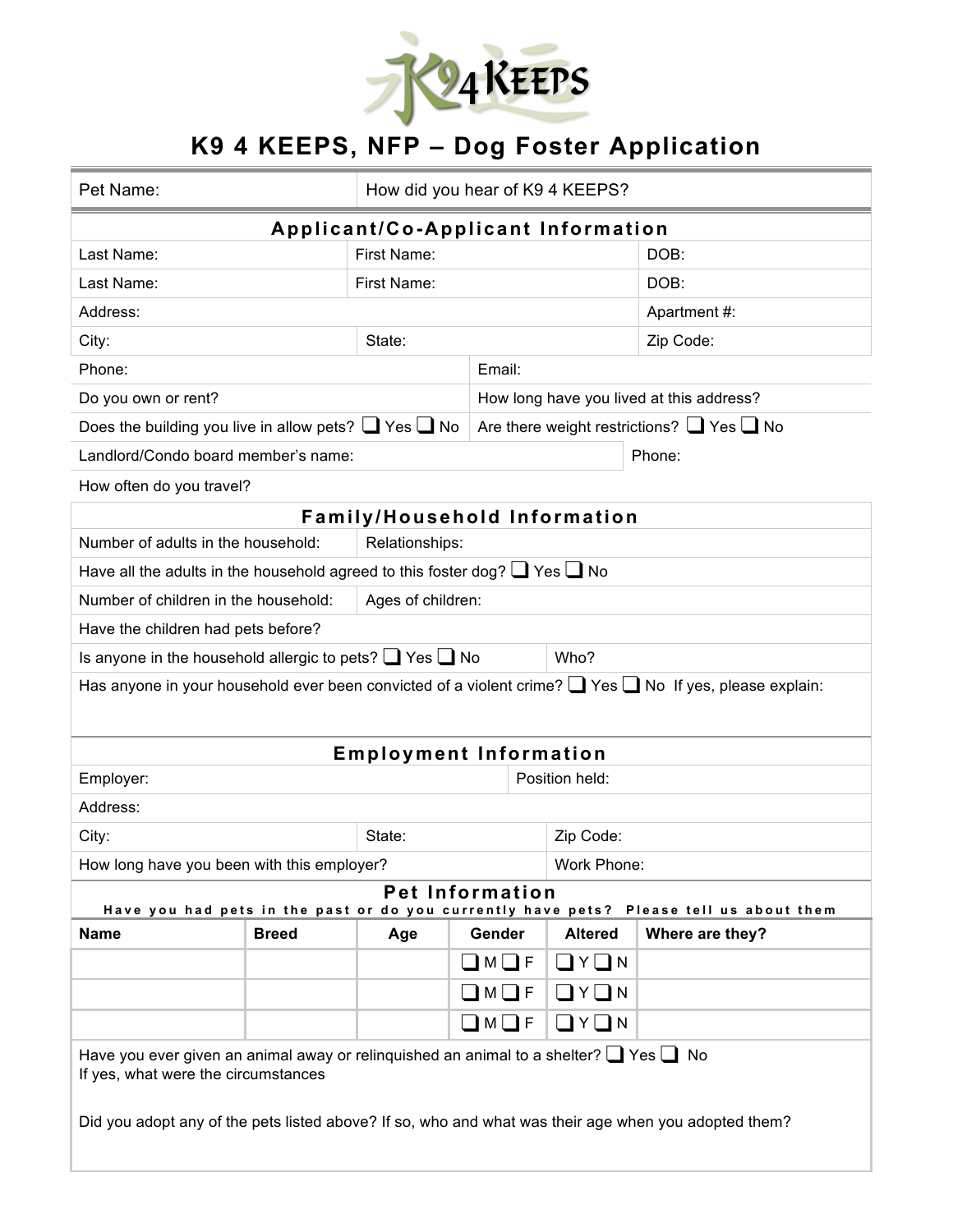

## **K9 4 KEEPS, NFP – Dog Foster Application**

| Pet Name:                                                                                                                                                                                                                                      |                                          | How did you hear of K94 KEEPS? |                         |                                                     |                                                                                                                   |  |  |  |
|------------------------------------------------------------------------------------------------------------------------------------------------------------------------------------------------------------------------------------------------|------------------------------------------|--------------------------------|-------------------------|-----------------------------------------------------|-------------------------------------------------------------------------------------------------------------------|--|--|--|
| Applicant/Co-Applicant Information                                                                                                                                                                                                             |                                          |                                |                         |                                                     |                                                                                                                   |  |  |  |
| Last Name:                                                                                                                                                                                                                                     |                                          | First Name:                    |                         |                                                     | DOB:                                                                                                              |  |  |  |
| Last Name:                                                                                                                                                                                                                                     |                                          | First Name:                    |                         |                                                     | DOB:                                                                                                              |  |  |  |
| Address:                                                                                                                                                                                                                                       |                                          |                                |                         | Apartment #:                                        |                                                                                                                   |  |  |  |
| City:                                                                                                                                                                                                                                          |                                          | State:                         |                         |                                                     | Zip Code:                                                                                                         |  |  |  |
| Phone:                                                                                                                                                                                                                                         |                                          | Email:                         |                         |                                                     |                                                                                                                   |  |  |  |
| Do you own or rent?                                                                                                                                                                                                                            | How long have you lived at this address? |                                |                         |                                                     |                                                                                                                   |  |  |  |
| Does the building you live in allow pets? $\Box$ Yes $\Box$ No                                                                                                                                                                                 |                                          |                                |                         | Are there weight restrictions? $\Box$ Yes $\Box$ No |                                                                                                                   |  |  |  |
| Landlord/Condo board member's name:                                                                                                                                                                                                            |                                          |                                |                         |                                                     | Phone:                                                                                                            |  |  |  |
| How often do you travel?                                                                                                                                                                                                                       |                                          |                                |                         |                                                     |                                                                                                                   |  |  |  |
| <b>Family/Household Information</b>                                                                                                                                                                                                            |                                          |                                |                         |                                                     |                                                                                                                   |  |  |  |
| Number of adults in the household:                                                                                                                                                                                                             |                                          | Relationships:                 |                         |                                                     |                                                                                                                   |  |  |  |
| Have all the adults in the household agreed to this foster dog? $\Box$ Yes $\Box$ No                                                                                                                                                           |                                          |                                |                         |                                                     |                                                                                                                   |  |  |  |
| Number of children in the household:<br>Ages of children:                                                                                                                                                                                      |                                          |                                |                         |                                                     |                                                                                                                   |  |  |  |
| Have the children had pets before?                                                                                                                                                                                                             |                                          |                                |                         |                                                     |                                                                                                                   |  |  |  |
| Is anyone in the household allergic to pets? $\Box$ Yes $\Box$ No                                                                                                                                                                              |                                          |                                |                         | Who?                                                |                                                                                                                   |  |  |  |
|                                                                                                                                                                                                                                                |                                          |                                |                         |                                                     | Has anyone in your household ever been convicted of a violent crime? $\Box$ Yes $\Box$ No If yes, please explain: |  |  |  |
|                                                                                                                                                                                                                                                |                                          | <b>Employment Information</b>  |                         |                                                     |                                                                                                                   |  |  |  |
| Employer:                                                                                                                                                                                                                                      |                                          | Position held:                 |                         |                                                     |                                                                                                                   |  |  |  |
| Address:                                                                                                                                                                                                                                       |                                          |                                |                         |                                                     |                                                                                                                   |  |  |  |
| City:                                                                                                                                                                                                                                          |                                          | State:                         |                         | Zip Code:                                           |                                                                                                                   |  |  |  |
| How long have you been with this employer?                                                                                                                                                                                                     |                                          |                                |                         | Work Phone:                                         |                                                                                                                   |  |  |  |
| <b>Pet Information</b><br>Have you had pets in the past or do you currently have pets? Please tell us about them                                                                                                                               |                                          |                                |                         |                                                     |                                                                                                                   |  |  |  |
| <b>Name</b>                                                                                                                                                                                                                                    | <b>Breed</b>                             | Age                            | Gender                  | <b>Altered</b>                                      | Where are they?                                                                                                   |  |  |  |
|                                                                                                                                                                                                                                                |                                          |                                | $\square$ M $\square$ F | $\Box$ $Y$ $\Box$ $N$                               |                                                                                                                   |  |  |  |
|                                                                                                                                                                                                                                                |                                          |                                | $\square$ M $\square$ F | $\Box$ $Y$ $\Box$ N                                 |                                                                                                                   |  |  |  |
|                                                                                                                                                                                                                                                |                                          |                                | $\Box M \Box F$         | $\Box$ $Y$ $\Box$ N                                 |                                                                                                                   |  |  |  |
| Have you ever given an animal away or relinguished an animal to a shelter? $\Box$ Yes $\Box$ No<br>If yes, what were the circumstances<br>Did you adopt any of the pets listed above? If so, who and what was their age when you adopted them? |                                          |                                |                         |                                                     |                                                                                                                   |  |  |  |
|                                                                                                                                                                                                                                                |                                          |                                |                         |                                                     |                                                                                                                   |  |  |  |